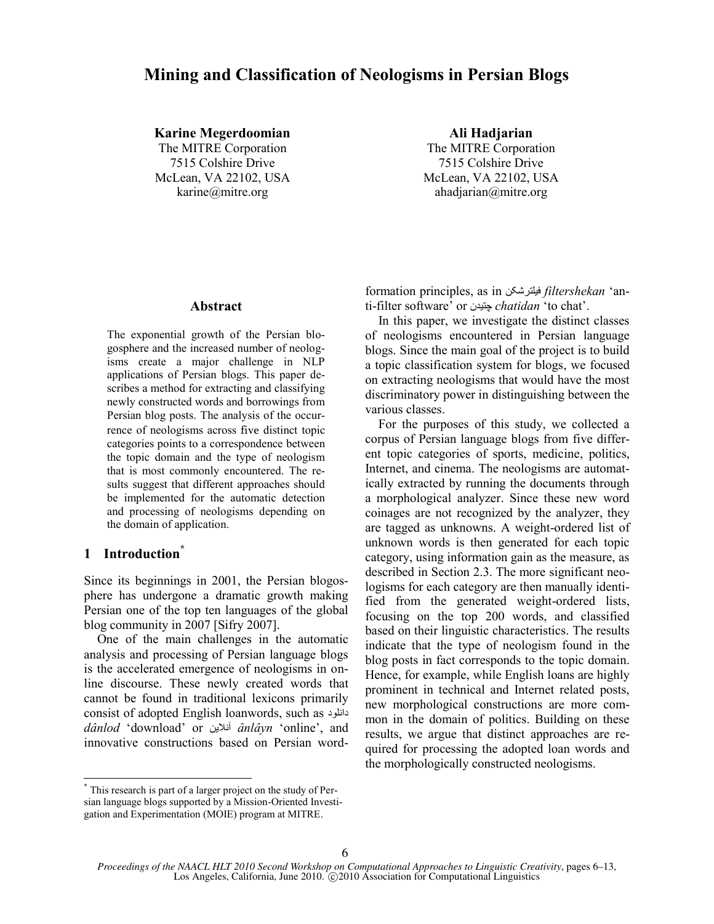# **Mining and Classification of Neologisms in Persian Blogs**

**Karine Megerdoomian Ali Hadjarian**

The MITRE Corporation The MITRE Corporation 7515 Colshire Drive 7515 Colshire Drive McLean, VA 22102, USA McLean, VA 22102, USA karine@mitre.org ahadjarian@mitre.org

#### **Abstract**

The exponential growth of the Persian blogosphere and the increased number of neologisms create a major challenge in NLP applications of Persian blogs. This paper describes a method for extracting and classifying newly constructed words and borrowings from Persian blog posts. The analysis of the occurrence of neologisms across five distinct topic categories points to a correspondence between the topic domain and the type of neologism that is most commonly encountered. The results suggest that different approaches should be implemented for the automatic detection and processing of neologisms depending on the domain of application.

## **1 Introduction\***

 $\overline{a}$ 

Since its beginnings in 2001, the Persian blogosphere has undergone a dramatic growth making Persian one of the top ten languages of the global blog community in 2007 [Sifry 2007].

One of the main challenges in the automatic analysis and processing of Persian language blogs is the accelerated emergence of neologisms in online discourse. These newly created words that cannot be found in traditional lexicons primarily consist of adopted English loanwords, such as لىدًدا *dânlod* 'download' or الیيًآ *ânlâyn* 'online', and innovative constructions based on Persian wordformation principles, as in فیلترشکي *filtershekan* 'anti-filter software' or چتیدى *chatidan* 'to chat'.

In this paper, we investigate the distinct classes of neologisms encountered in Persian language blogs. Since the main goal of the project is to build a topic classification system for blogs, we focused on extracting neologisms that would have the most discriminatory power in distinguishing between the various classes.

For the purposes of this study, we collected a corpus of Persian language blogs from five different topic categories of sports, medicine, politics, Internet, and cinema. The neologisms are automatically extracted by running the documents through a morphological analyzer. Since these new word coinages are not recognized by the analyzer, they are tagged as unknowns. A weight-ordered list of unknown words is then generated for each topic category, using information gain as the measure, as described in Section 2.3. The more significant neologisms for each category are then manually identified from the generated weight-ordered lists, focusing on the top 200 words, and classified based on their linguistic characteristics. The results indicate that the type of neologism found in the blog posts in fact corresponds to the topic domain. Hence, for example, while English loans are highly prominent in technical and Internet related posts, new morphological constructions are more common in the domain of politics. Building on these results, we argue that distinct approaches are required for processing the adopted loan words and the morphologically constructed neologisms.

<sup>\*</sup> This research is part of a larger project on the study of Persian language blogs supported by a Mission-Oriented Investigation and Experimentation (MOIE) program at MITRE.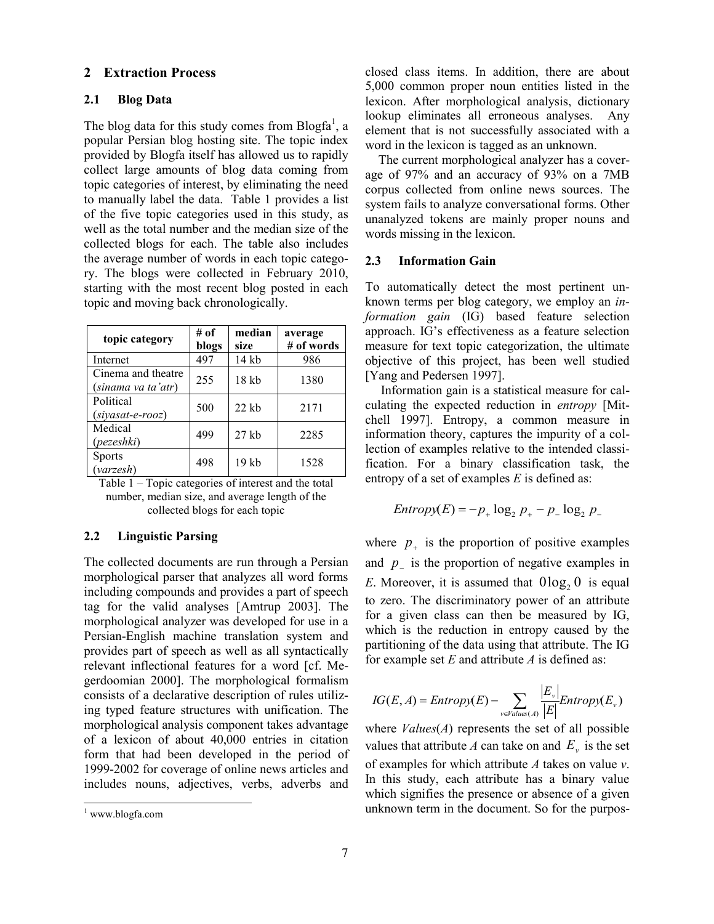## **2 Extraction Process**

## **2.1 Blog Data**

The blog data for this study comes from Blogfa<sup>1</sup>, a popular Persian blog hosting site. The topic index provided by Blogfa itself has allowed us to rapidly collect large amounts of blog data coming from topic categories of interest, by eliminating the need to manually label the data. Table 1 provides a list of the five topic categories used in this study, as well as the total number and the median size of the collected blogs for each. The table also includes the average number of words in each topic category. The blogs were collected in February 2010, starting with the most recent blog posted in each topic and moving back chronologically.

| topic category                           | # of<br>blogs | median<br>size | average<br># of words |
|------------------------------------------|---------------|----------------|-----------------------|
| Internet                                 | 497           | 14 kb          | 986                   |
| Cinema and theatre<br>(sinama va ta'atr) | 255           | 18 kb          | 1380                  |
| Political<br>$(siyasat-e-rooz)$          | 500           | $22$ kb        | 2171                  |
| Medical<br>(pezeshki)                    | 499           | $27$ kb        | 2285                  |
| <b>Sports</b><br>(varzes h)              | 498           | 19 kb          | 1528                  |

Table 1 – Topic categories of interest and the total number, median size, and average length of the collected blogs for each topic

### **2.2 Linguistic Parsing**

The collected documents are run through a Persian morphological parser that analyzes all word forms including compounds and provides a part of speech tag for the valid analyses [Amtrup 2003]. The morphological analyzer was developed for use in a Persian-English machine translation system and provides part of speech as well as all syntactically relevant inflectional features for a word [cf. Megerdoomian 2000]. The morphological formalism consists of a declarative description of rules utilizing typed feature structures with unification. The morphological analysis component takes advantage of a lexicon of about 40,000 entries in citation form that had been developed in the period of 1999-2002 for coverage of online news articles and includes nouns, adjectives, verbs, adverbs and

l

closed class items. In addition, there are about 5,000 common proper noun entities listed in the lexicon. After morphological analysis, dictionary lookup eliminates all erroneous analyses. Any element that is not successfully associated with a word in the lexicon is tagged as an unknown.

The current morphological analyzer has a coverage of 97% and an accuracy of 93% on a 7MB corpus collected from online news sources. The system fails to analyze conversational forms. Other unanalyzed tokens are mainly proper nouns and words missing in the lexicon.

## **2.3 Information Gain**

To automatically detect the most pertinent unknown terms per blog category, we employ an *information gain* (IG) based feature selection approach. IG's effectiveness as a feature selection measure for text topic categorization, the ultimate objective of this project, has been well studied [Yang and Pedersen 1997].

Information gain is a statistical measure for calculating the expected reduction in *entropy* [Mitchell 1997]. Entropy, a common measure in information theory, captures the impurity of a collection of examples relative to the intended classification. For a binary classification task, the entropy of a set of examples *E* is defined as:

$$
Entropy(E) = -p_+ \log_2 p_+ - p_- \log_2 p_-
$$

where  $p_{+}$  is the proportion of positive examples and  $p_{-}$  is the proportion of negative examples in *E*. Moreover, it is assumed that  $0\log_2 0$  is equal to zero. The discriminatory power of an attribute for a given class can then be measured by IG, which is the reduction in entropy caused by the partitioning of the data using that attribute. The IG for example set *E* and attribute *A* is defined as:

$$
IG(E, A) = Entropy(E) - \sum_{v \in Values(A)} \frac{|E_v|}{|E|} Entropy(E_v)
$$

where *Values*(*A*) represents the set of all possible values that attribute A can take on and  $E_y$  is the set of examples for which attribute *A* takes on value *v*. In this study, each attribute has a binary value which signifies the presence or absence of a given unknown term in the document. So for the purpos-

<sup>1</sup> www.blogfa.com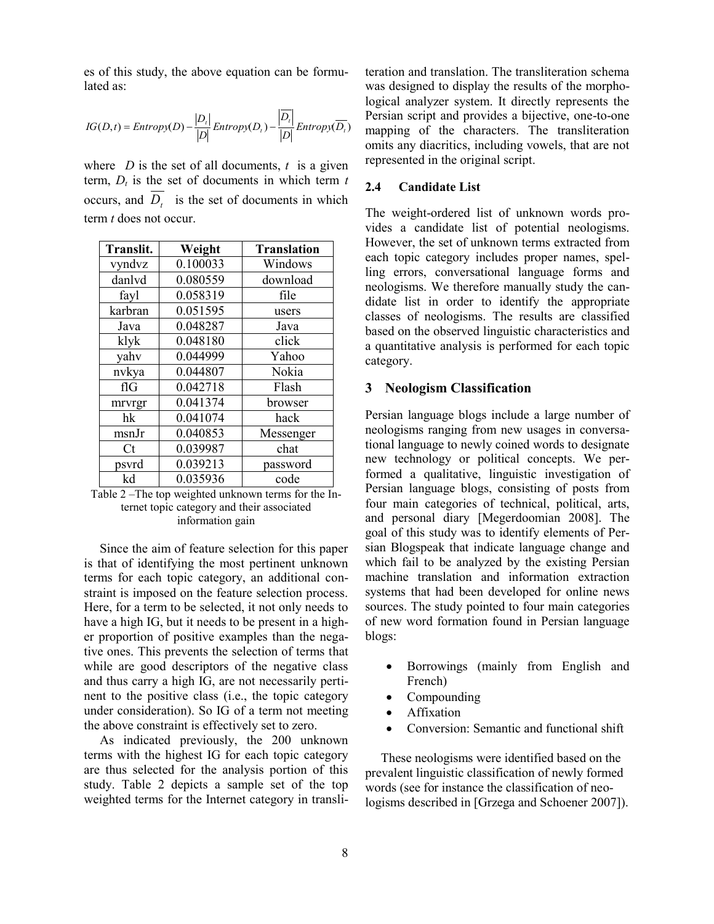es of this study, the above equation can be formulated as:

$$
IG(D,t) = Entropy(D) - \frac{|D_t|}{|D|} Entropy(D_t) - \frac{|\overline{D_t}|}{|D|} Entropy(\overline{D_t})
$$

where *D* is the set of all documents,  $t$  is a given term,  $D_t$  is the set of documents in which term  $t$ occurs, and  $D_t$  is the set of documents in which term *t* does not occur.

| <b>Translit.</b> | Weight   | <b>Translation</b> |
|------------------|----------|--------------------|
| vyndvz           | 0.100033 | Windows            |
| danlyd           | 0.080559 | download           |
| fayl             | 0.058319 | file               |
| karbran          | 0.051595 | users              |
| Java             | 0.048287 | Java               |
| klyk             | 0.048180 | click              |
| yahv             | 0.044999 | Yahoo              |
| nvkya            | 0.044807 | Nokia              |
| fIG              | 0.042718 | Flash              |
| mrvrgr           | 0.041374 | browser            |
| hk               | 0.041074 | hack               |
| msnJr            | 0.040853 | Messenger          |
| $C_{t}$          | 0.039987 | chat               |
| psvrd            | 0.039213 | password           |
| kd               | 0.035936 | code               |

Table 2 –The top weighted unknown terms for the Internet topic category and their associated information gain

Since the aim of feature selection for this paper is that of identifying the most pertinent unknown terms for each topic category, an additional constraint is imposed on the feature selection process. Here, for a term to be selected, it not only needs to have a high IG, but it needs to be present in a higher proportion of positive examples than the negative ones. This prevents the selection of terms that while are good descriptors of the negative class and thus carry a high IG, are not necessarily pertinent to the positive class (i.e., the topic category under consideration). So IG of a term not meeting the above constraint is effectively set to zero.

As indicated previously, the 200 unknown terms with the highest IG for each topic category are thus selected for the analysis portion of this study. Table 2 depicts a sample set of the top weighted terms for the Internet category in transliteration and translation. The transliteration schema was designed to display the results of the morphological analyzer system. It directly represents the Persian script and provides a bijective, one-to-one mapping of the characters. The transliteration omits any diacritics, including vowels, that are not represented in the original script.

## **2.4 Candidate List**

The weight-ordered list of unknown words provides a candidate list of potential neologisms. However, the set of unknown terms extracted from each topic category includes proper names, spelling errors, conversational language forms and neologisms. We therefore manually study the candidate list in order to identify the appropriate classes of neologisms. The results are classified based on the observed linguistic characteristics and a quantitative analysis is performed for each topic category.

## **3 Neologism Classification**

Persian language blogs include a large number of neologisms ranging from new usages in conversational language to newly coined words to designate new technology or political concepts. We performed a qualitative, linguistic investigation of Persian language blogs, consisting of posts from four main categories of technical, political, arts, and personal diary [Megerdoomian 2008]. The goal of this study was to identify elements of Persian Blogspeak that indicate language change and which fail to be analyzed by the existing Persian machine translation and information extraction systems that had been developed for online news sources. The study pointed to four main categories of new word formation found in Persian language blogs:

- Borrowings (mainly from English and French)
- Compounding
- Affixation
- Conversion: Semantic and functional shift

These neologisms were identified based on the prevalent linguistic classification of newly formed words (see for instance the classification of neologisms described in [Grzega and Schoener 2007]).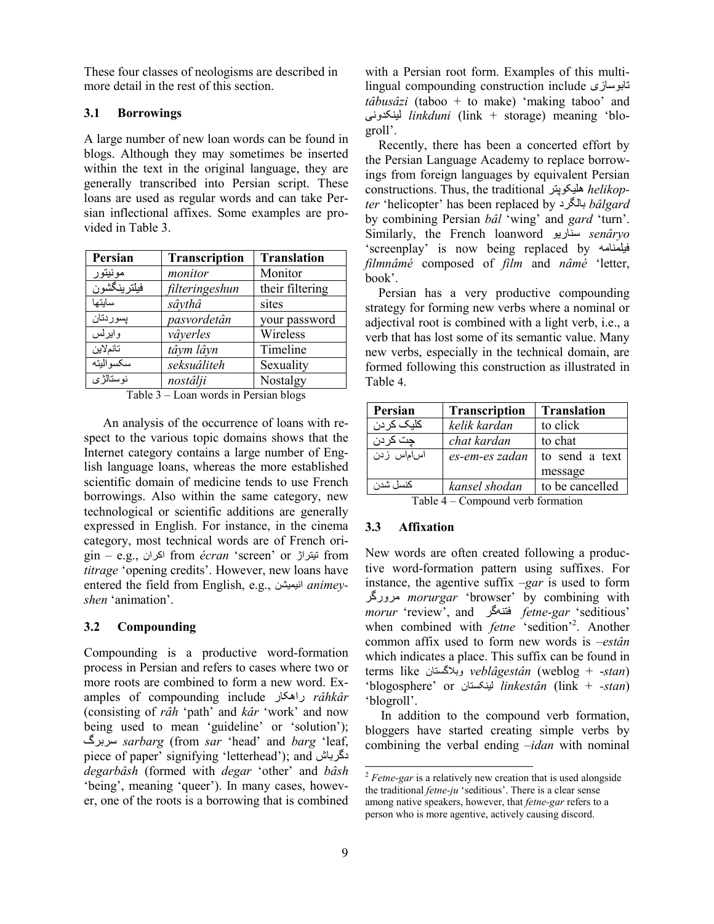These four classes of neologisms are described in more detail in the rest of this section.

### **3.1 Borrowings**

A large number of new loan words can be found in blogs. Although they may sometimes be inserted within the text in the original language, they are generally transcribed into Persian script. These loans are used as regular words and can take Persian inflectional affixes. Some examples are provided in Table 3.

| Persian      | Transcription  | <b>Translation</b> |
|--------------|----------------|--------------------|
| مونيتور      | monitor        | Monitor            |
| فيلتر ينكشون | filteringeshun | their filtering    |
| سايتها       | sâythâ         | sites              |
| يسوردتان     | pasvordetân    | your password      |
| وايرلس       | vâyerles       | Wireless           |
| تانملاين     | tâym lâyn      | Timeline           |
| سكسو اليته   | seksuâliteh    | Sexuality          |
| نو ستالڑ ی   | nostâlji       | Nostalgy           |

Table 3 – Loan words in Persian blogs

An analysis of the occurrence of loans with respect to the various topic domains shows that the Internet category contains a large number of English language loans, whereas the more established scientific domain of medicine tends to use French borrowings. Also within the same category, new technological or scientific additions are generally expressed in English. For instance, in the cinema category, most technical words are of French origin – e.g., اکراى from *écran* 'screen' or تیتراژ from *titrage* 'opening credits'. However, new loans have entered the field from English, e.g., یویشيًا *animeyshen* 'animation'.

### **3.2 Compounding**

Compounding is a productive word-formation process in Persian and refers to cases where two or more roots are combined to form a new word. Examples of compounding include راهکار *râhkâr* (consisting of *râh* 'path' and *kâr* 'work' and now being used to mean 'guideline' or 'solution'); سربرگ *sarbarg* (from *sar* 'head' and *barg* 'leaf, piece of paper' signifying 'letterhead'); and دگرباش *degarbâsh* (formed with *degar* 'other' and *bâsh* 'being', meaning 'queer'). In many cases, however, one of the roots is a borrowing that is combined with a Persian root form. Examples of this multilingual compounding construction include تابىسازی *tâbusâzi* (taboo + to make) 'making taboo' and یًکدوٌلی *linkduni* (link + storage) meaning 'blogroll'.

Recently, there has been a concerted effort by the Persian Language Academy to replace borrowings from foreign languages by equivalent Persian constructions. Thus, the traditional هلیکىپتر *helikopter* 'helicopter' has been replaced by بالگرد *bâlgard*  by combining Persian *bâl* 'wing' and *gard* 'turn'. Similarly, the French loanword اریىٌس *senâryo* 'screenplay' is now being replaced by فیلمنامه *filmnâmé* composed of *film* and *nâmé* 'letter, book'.

Persian has a very productive compounding strategy for forming new verbs where a nominal or adjectival root is combined with a light verb, i.e., a verb that has lost some of its semantic value. Many new verbs, especially in the technical domain, are formed following this construction as illustrated in Table 4.

| Persian                             | <b>Transcription</b> | <b>Translation</b> |
|-------------------------------------|----------------------|--------------------|
| كليک كر دن                          | kelik kardan         | to click           |
| جت کر دن                            | chat kardan          | to chat            |
| اساماس زدن                          | es-em-es zadan       | to send a text     |
|                                     |                      | message            |
| كنسل شدن                            | kansel shodan        | to be cancelled    |
| Table 1 Course und route Council on |                      |                    |

Table 4 – Compound verb formation

## **3.3 Affixation**

New words are often created following a productive word-formation pattern using suffixes. For instance, the agentive suffix *–gar* is used to form هرورگر *morurgar* 'browser' by combining with *morur* 'review', and هگرٌفت *fetne-gar* 'seditious' when combined with *fetne* 'sedition'<sup>2</sup>. Another common affix used to form new words is *–estân* which indicates a place. This suffix can be found in terms like وبالگستاى *veblâgestân* (weblog + -*stan*) 'blogosphere' or کستاىٌلی *linkestân* (link + *-stan*) 'blogroll'.

In addition to the compound verb formation, bloggers have started creating simple verbs by combining the verbal ending *–idan* with nominal

l

<sup>&</sup>lt;sup>2</sup> *Fetne-gar* is a relatively new creation that is used alongside the traditional *fetne-ju* 'seditious'. There is a clear sense among native speakers, however, that *fetne-gar* refers to a person who is more agentive, actively causing discord.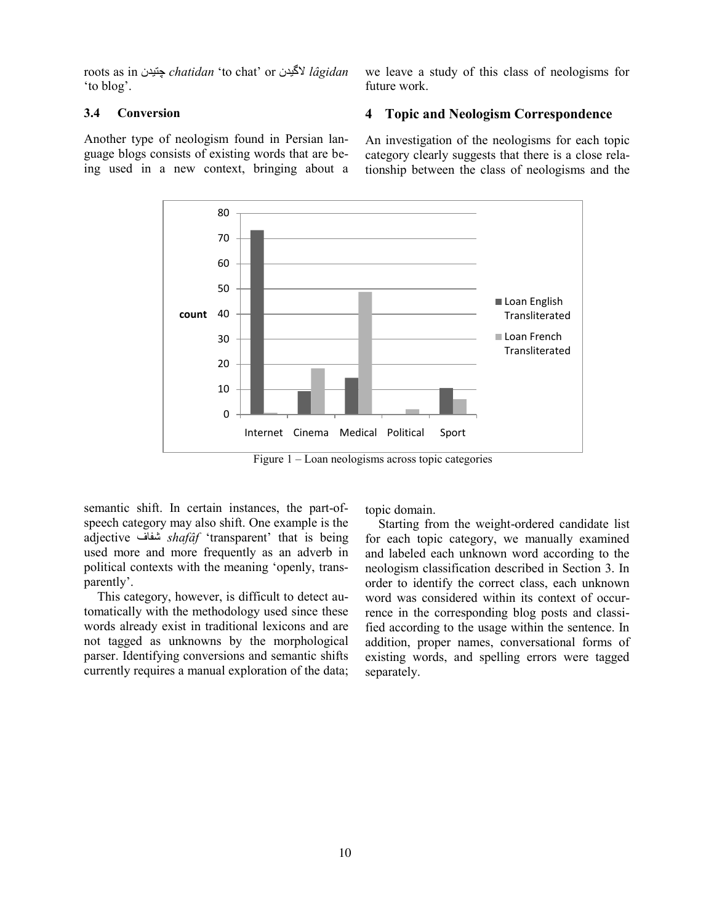roots as in چتیدى *chatidan* 'to chat' or الگیدى *lâgidan* 'to blog'.

## **3.4 Conversion**

Another type of neologism found in Persian language blogs consists of existing words that are being used in a new context, bringing about a

we leave a study of this class of neologisms for future work.

## **4 Topic and Neologism Correspondence**

An investigation of the neologisms for each topic category clearly suggests that there is a close relationship between the class of neologisms and the



Figure 1 – Loan neologisms across topic categories

semantic shift. In certain instances, the part-ofspeech category may also shift. One example is the adjective شفاف *shafâf* 'transparent' that is being used more and more frequently as an adverb in political contexts with the meaning 'openly, transparently'.

This category, however, is difficult to detect automatically with the methodology used since these words already exist in traditional lexicons and are not tagged as unknowns by the morphological parser. Identifying conversions and semantic shifts currently requires a manual exploration of the data; topic domain.

Starting from the weight-ordered candidate list for each topic category, we manually examined and labeled each unknown word according to the neologism classification described in Section 3. In order to identify the correct class, each unknown word was considered within its context of occurrence in the corresponding blog posts and classified according to the usage within the sentence. In addition, proper names, conversational forms of existing words, and spelling errors were tagged separately.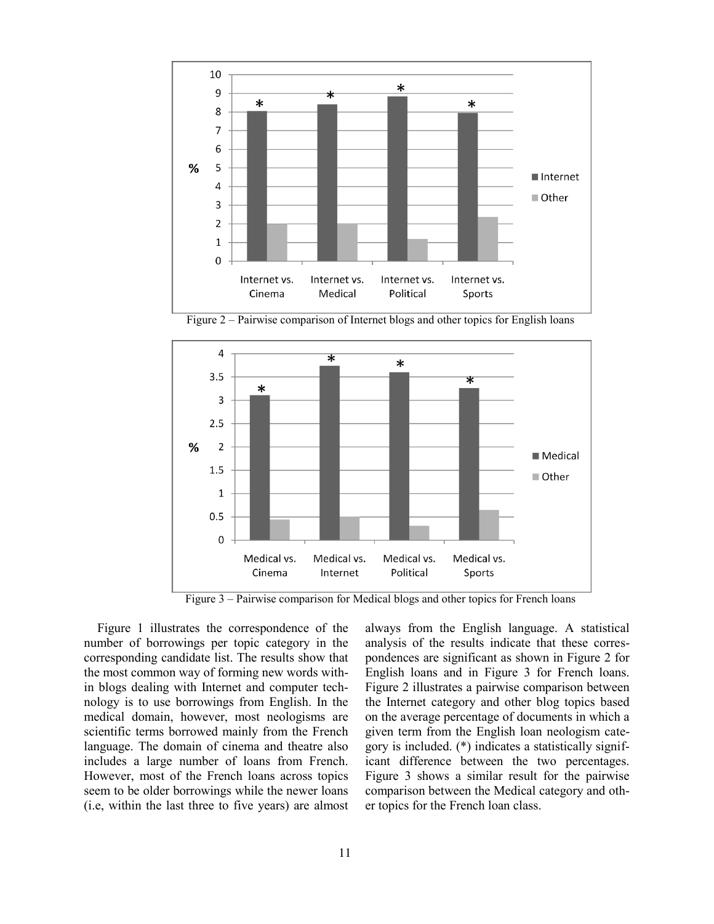

Figure 2 – Pairwise comparison of Internet blogs and other topics for English loans



Figure 3 – Pairwise comparison for Medical blogs and other topics for French loans

Figure 1 illustrates the correspondence of the number of borrowings per topic category in the corresponding candidate list. The results show that the most common way of forming new words within blogs dealing with Internet and computer technology is to use borrowings from English. In the medical domain, however, most neologisms are scientific terms borrowed mainly from the French language. The domain of cinema and theatre also includes a large number of loans from French. However, most of the French loans across topics seem to be older borrowings while the newer loans (i.e, within the last three to five years) are almost always from the English language. A statistical analysis of the results indicate that these correspondences are significant as shown in Figure 2 for English loans and in Figure 3 for French loans. Figure 2 illustrates a pairwise comparison between the Internet category and other blog topics based on the average percentage of documents in which a given term from the English loan neologism category is included. (\*) indicates a statistically significant difference between the two percentages. Figure 3 shows a similar result for the pairwise comparison between the Medical category and other topics for the French loan class.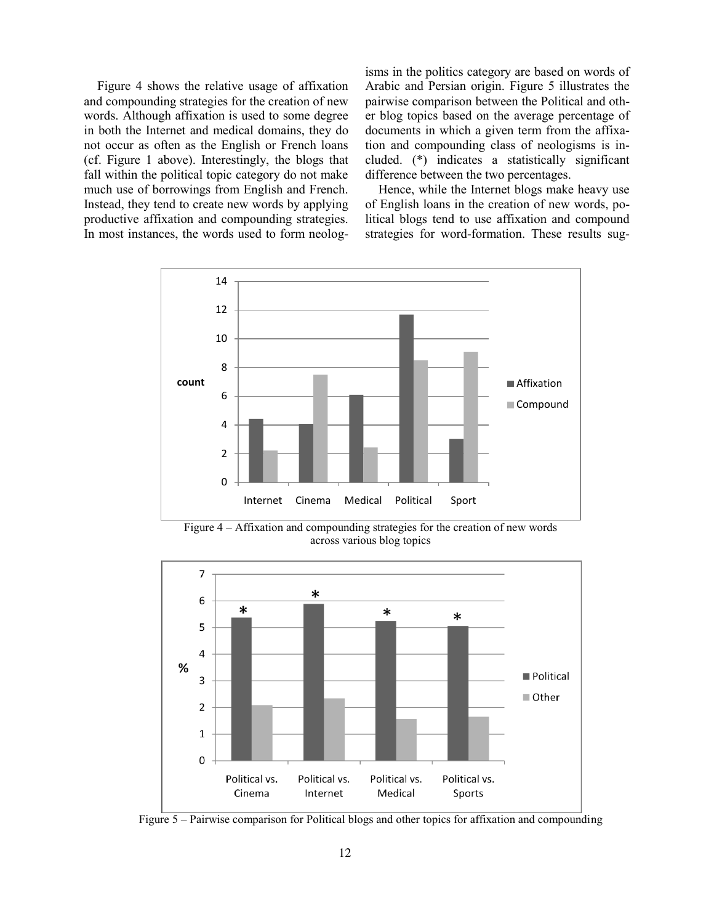Figure 4 shows the relative usage of affixation and compounding strategies for the creation of new words. Although affixation is used to some degree in both the Internet and medical domains, they do not occur as often as the English or French loans (cf. Figure 1 above). Interestingly, the blogs that fall within the political topic category do not make much use of borrowings from English and French. Instead, they tend to create new words by applying productive affixation and compounding strategies. In most instances, the words used to form neologisms in the politics category are based on words of Arabic and Persian origin. Figure 5 illustrates the pairwise comparison between the Political and other blog topics based on the average percentage of documents in which a given term from the affixation and compounding class of neologisms is included. (\*) indicates a statistically significant difference between the two percentages.

Hence, while the Internet blogs make heavy use of English loans in the creation of new words, political blogs tend to use affixation and compound strategies for word-formation. These results sug-



Figure 4 – Affixation and compounding strategies for the creation of new words across various blog topics



Figure 5 – Pairwise comparison for Political blogs and other topics for affixation and compounding